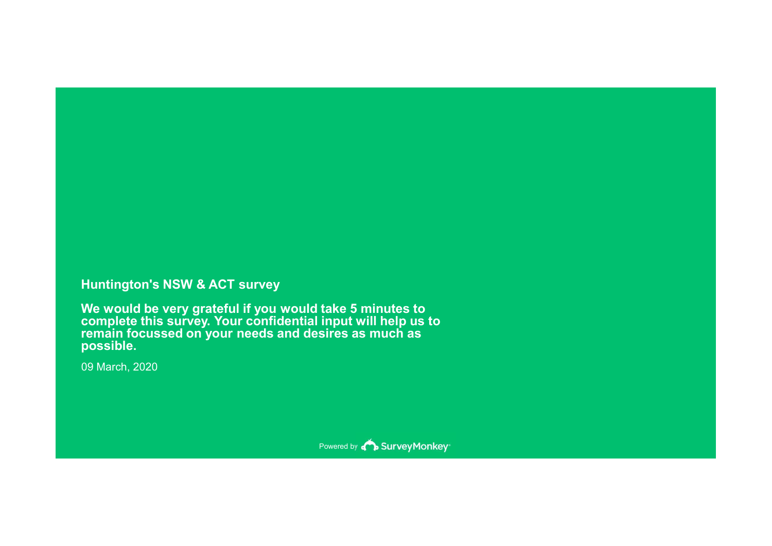### Huntington's NSW & ACT survey

We would be very grateful if you would take 5 minutes to complete this survey. Your confidential input will help us to remain focussed on your needs and desires as much as possible. Huntington's NSW & ACT survey<br>We would be very grateful if you would take 5 minutes to<br>complete this survey. Your confidential input will help us t<br>remain focussed on your needs and desires as much as<br>possible.<br>09 March, 2

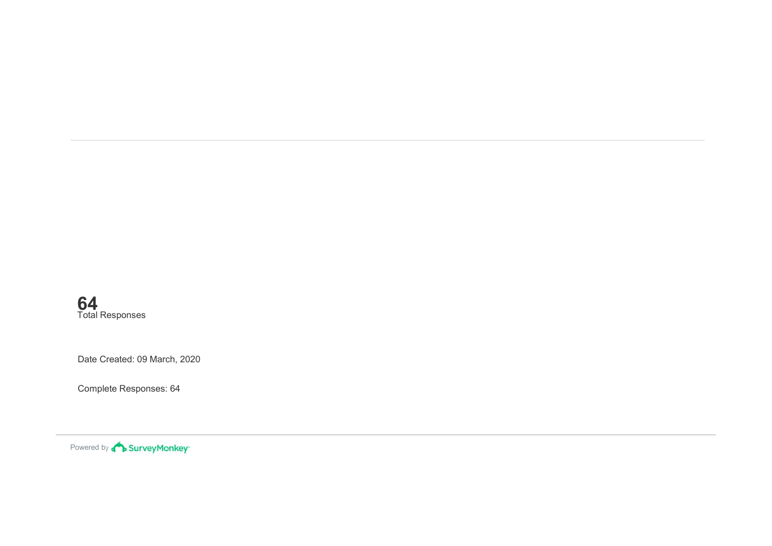Date Created: 09 March, 2020 64 Total Responses

Complete Responses: 64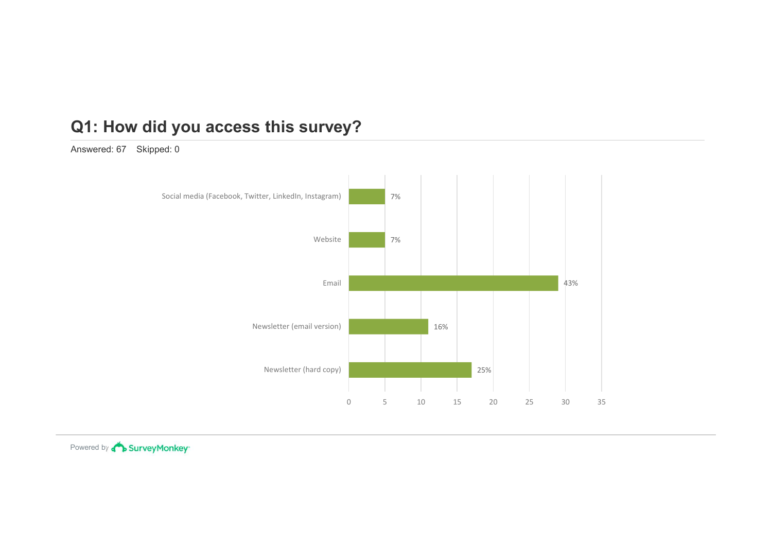Answered: 67 Skipped: 0

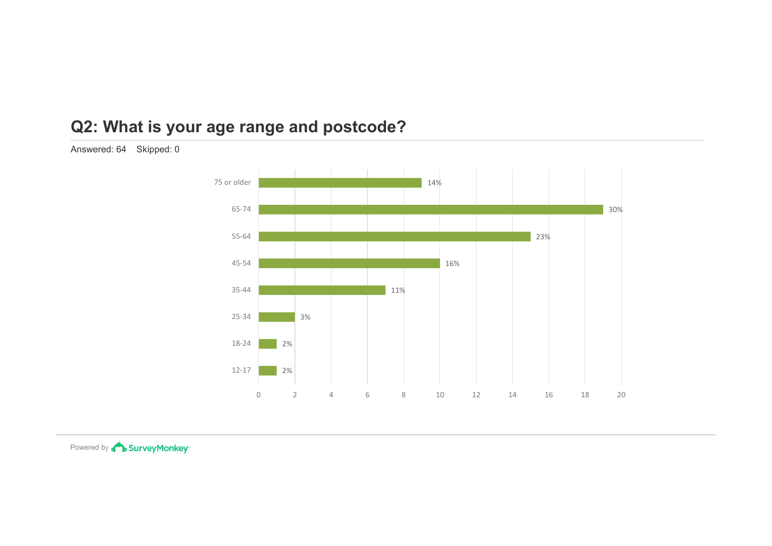### Q2: What is your age range and postcode?

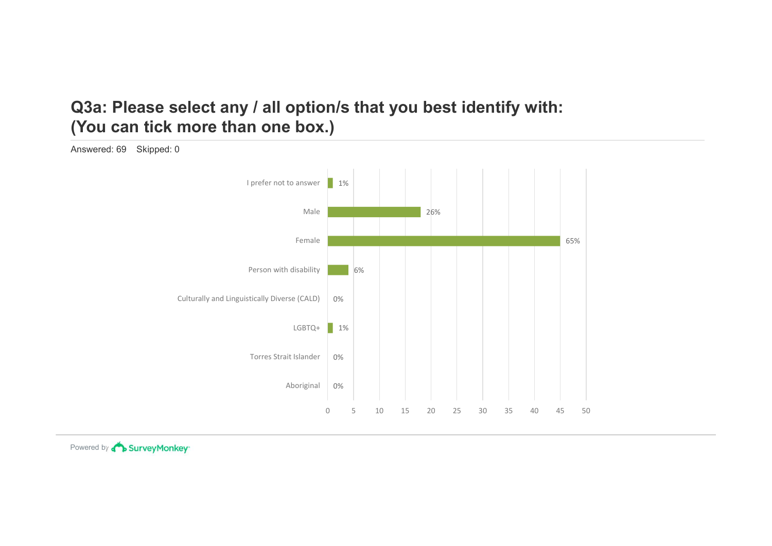### Q3a: Please select any / all option/s that you best identify with: (You can tick more than one box.)

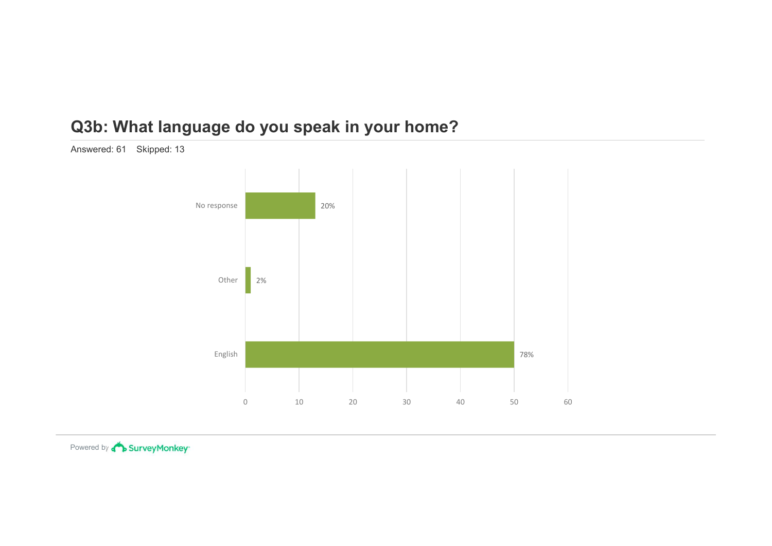### Q3b: What language do you speak in your home?



Answered: 61 Skipped: 13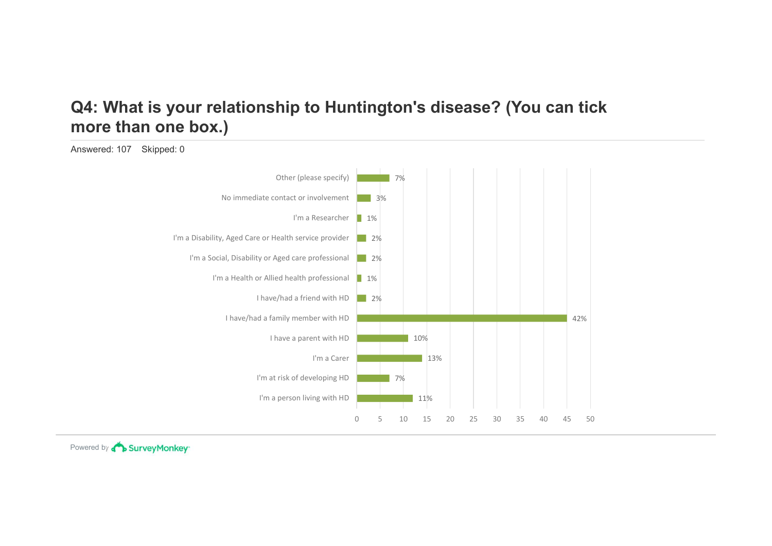### Q4: What is your relationship to Huntington's disease? (You can tick more than one box.)

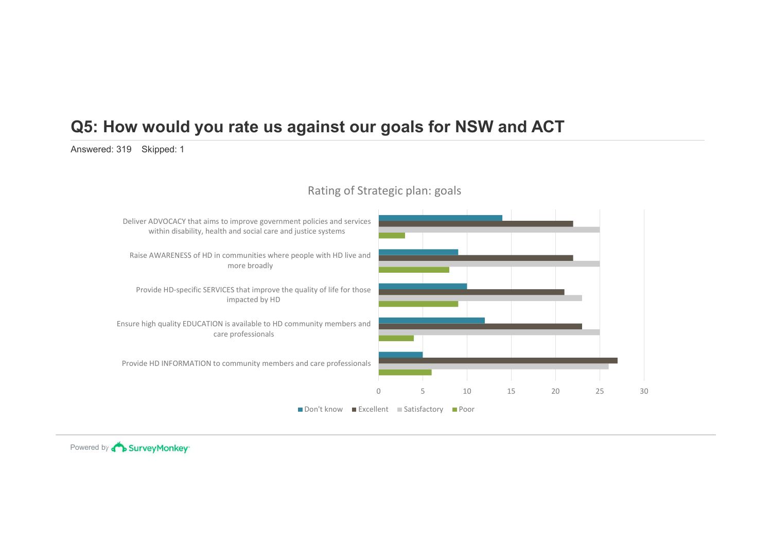# Q5: How would you rate us against our goals for NSW and ACT **Q5: How would you rate us against our goals fo**<br>Answered: 319 Skipped: 1<br>Rating of Strategic plan: g



### Rating of Strategic plan: goals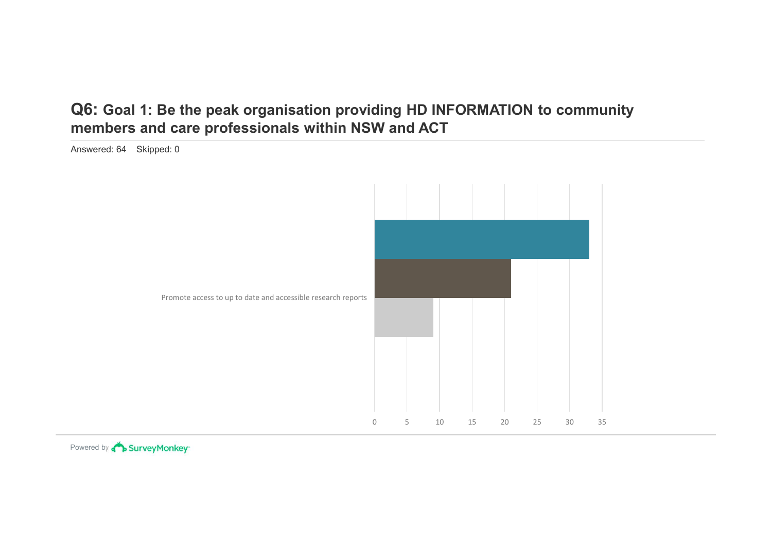### Q6: Goal 1: Be the peak organisation providing HD INFORMATION to community members and care professionals within NSW and ACT

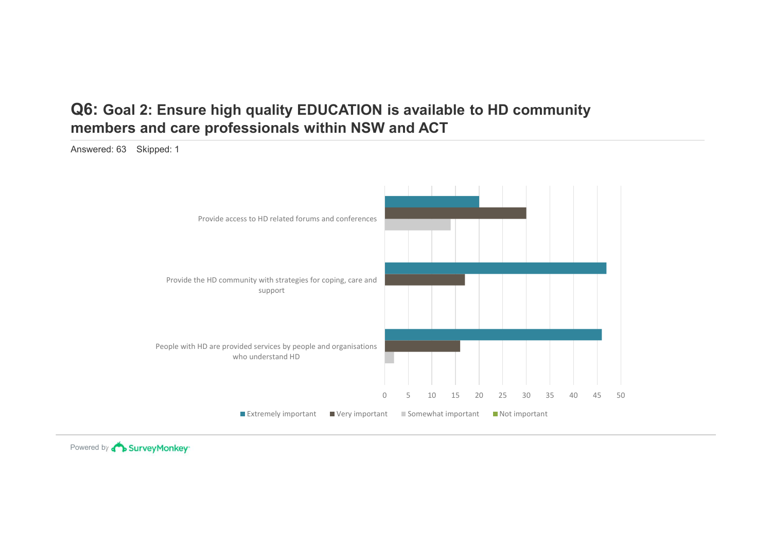## Q6: Goal 2: Ensure high quality EDUCATION is available to HD community<br>members and care professionals within NSW and ACT<br>Answered: 63 Skipped: 1 members and care professionals within NSW and ACT **Q6: Goal 2: Ensure high quality EDUCATION is avail:**<br>members and care professionals within NSW and AC<br>Answered: 63 Skipped: 1



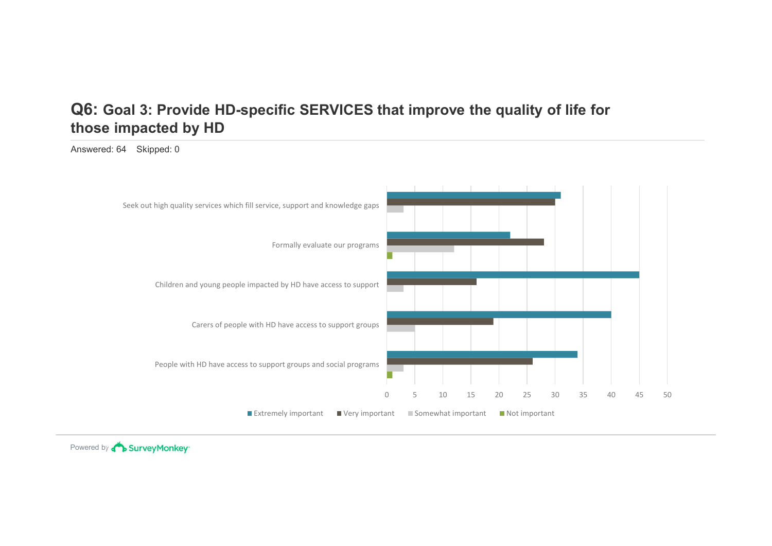### those impacted by HD

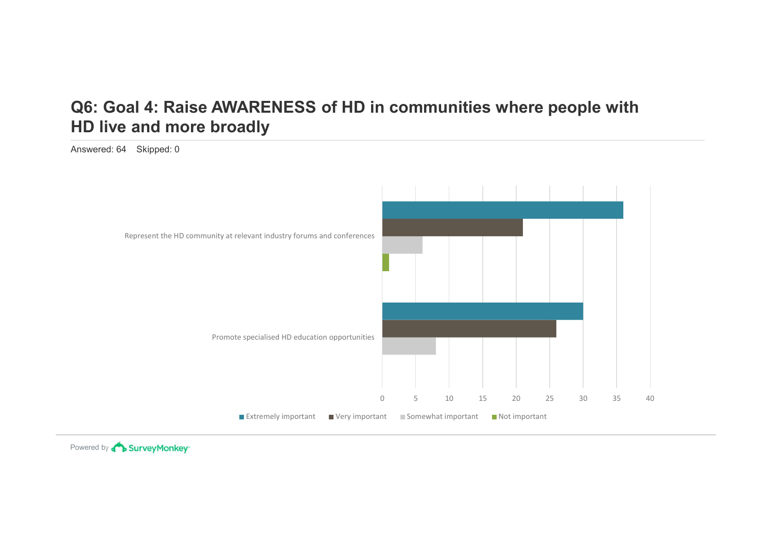### Q6: Goal 4: Raise AWARENESS of HD in communities where people with HD live and more broadly Q6: Goal 4: Raise AWARENESS of HD in comm<br>HD live and more broadly<br>Answered: 64 Skipped: 0



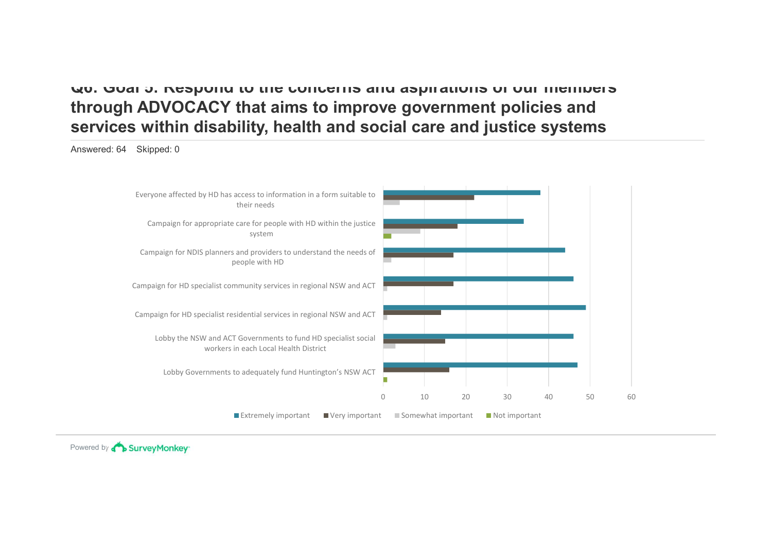### Q6: Goal 5: Respond to the concerns and aspirations of our members through ADVOCACY that aims to improve government policies and services within disability, health and social care and justice systems Everyone affected by HD has access to information in a form suitable to

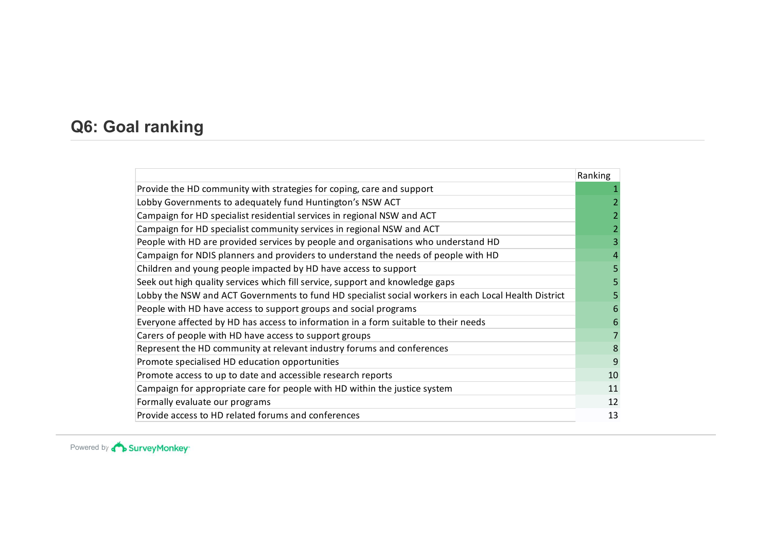| Ranking |
|---------|
|         |
|         |
|         |
|         |
|         |
|         |
|         |
|         |
|         |
|         |
|         |
|         |
|         |
|         |
| 9       |
|         |
| 10      |
| 11      |
| 12      |
|         |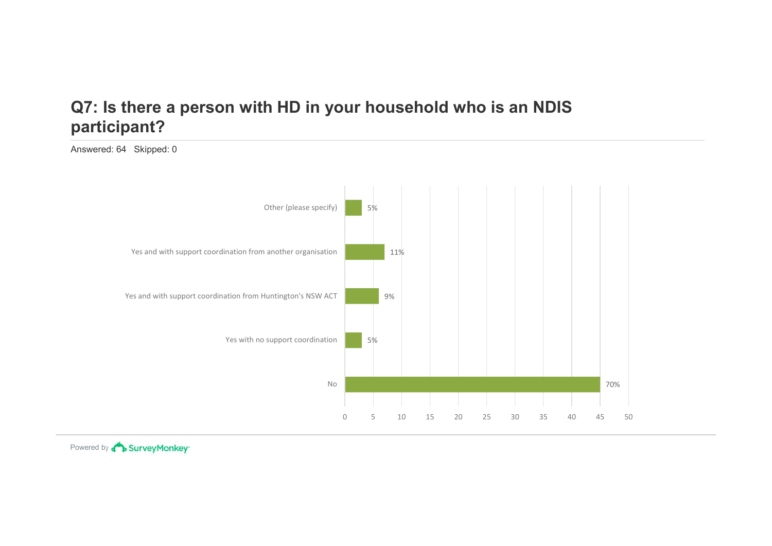### participant?

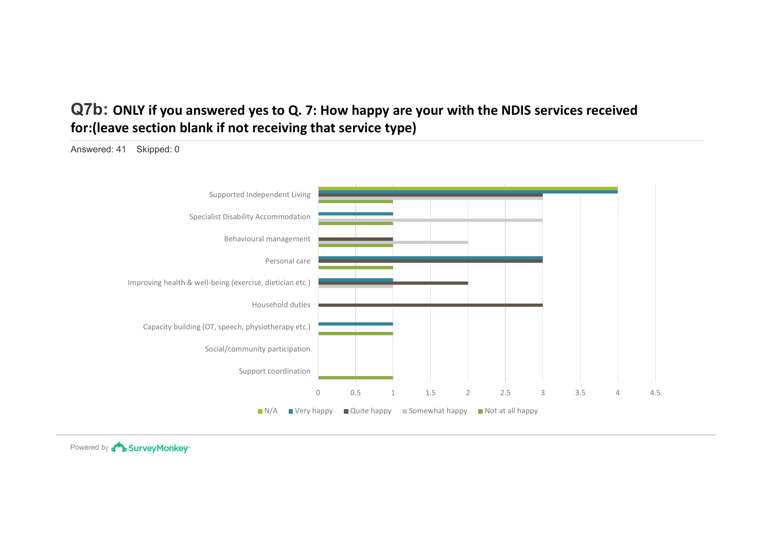### Q7b: ONLY if you answered yes to Q. 7: How happy are your with the NDIS services received for:(leave section blank if not receiving that service type)

Q7b: ONLY if you answered yes to Q. 7: How happy are you<br>for:(leave section blank if not receiving that service type)<br>Answered: 41 Skipped: 0  $\begin{array}{|c|c|c|c|}\n\hline\n\text{1.5} & \text{2.5} & \text{3.5} & \text{4.5} \\
\hline\n\text{2.5} & \text{4.5} & \text{5.6} & \text{6.6} & \text{6.6} \\
\hline\n\text{3.6} & \text{5.6} & \text{6.6} & \text{6.6} & \text{6.6} \\
\hline\n\text{4.7} & \text{5.7} & \text{6.7} & \text{6.7} & \text{6.7} & \text{6.7} \\
\hline\n\text{5.8} & \text{6.7} & \text{6.7} &$ Support coordination Social/community participation Capacity building (OT, speech, physiotherapy etc.) Household duties Improving health & well-being (exercise, dietician etc.) Personal care Behavioural management Specialist Disability Accommodation Supported Independent Living  $N/A$  Very happy  $\Box$  Quite happy  $\Box$  Somewhat happy  $\Box$  Not at all happy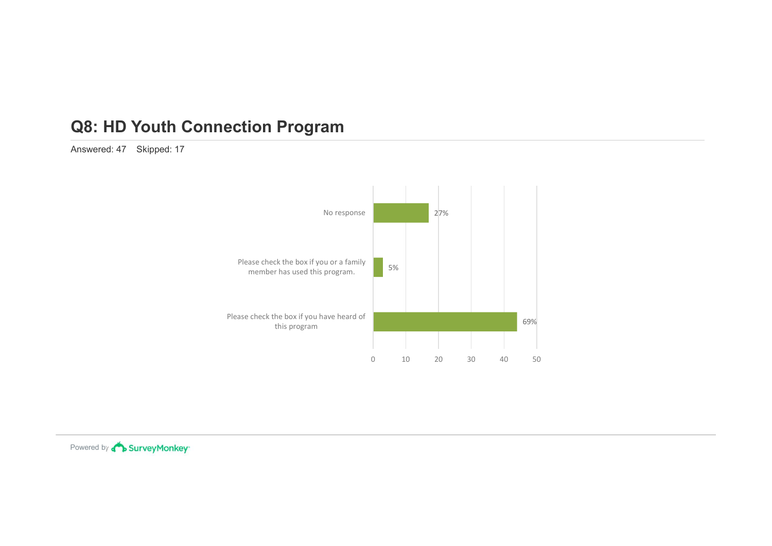